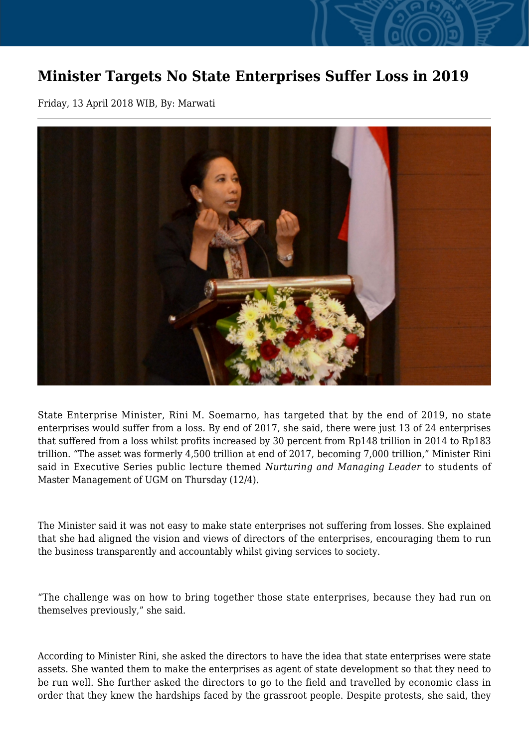## **Minister Targets No State Enterprises Suffer Loss in 2019**

Friday, 13 April 2018 WIB, By: Marwati



State Enterprise Minister, Rini M. Soemarno, has targeted that by the end of 2019, no state enterprises would suffer from a loss. By end of 2017, she said, there were just 13 of 24 enterprises that suffered from a loss whilst profits increased by 30 percent from Rp148 trillion in 2014 to Rp183 trillion. "The asset was formerly 4,500 trillion at end of 2017, becoming 7,000 trillion," Minister Rini said in Executive Series public lecture themed *Nurturing and Managing Leader* to students of Master Management of UGM on Thursday (12/4).

The Minister said it was not easy to make state enterprises not suffering from losses. She explained that she had aligned the vision and views of directors of the enterprises, encouraging them to run the business transparently and accountably whilst giving services to society.

"The challenge was on how to bring together those state enterprises, because they had run on themselves previously," she said.

According to Minister Rini, she asked the directors to have the idea that state enterprises were state assets. She wanted them to make the enterprises as agent of state development so that they need to be run well. She further asked the directors to go to the field and travelled by economic class in order that they knew the hardships faced by the grassroot people. Despite protests, she said, they